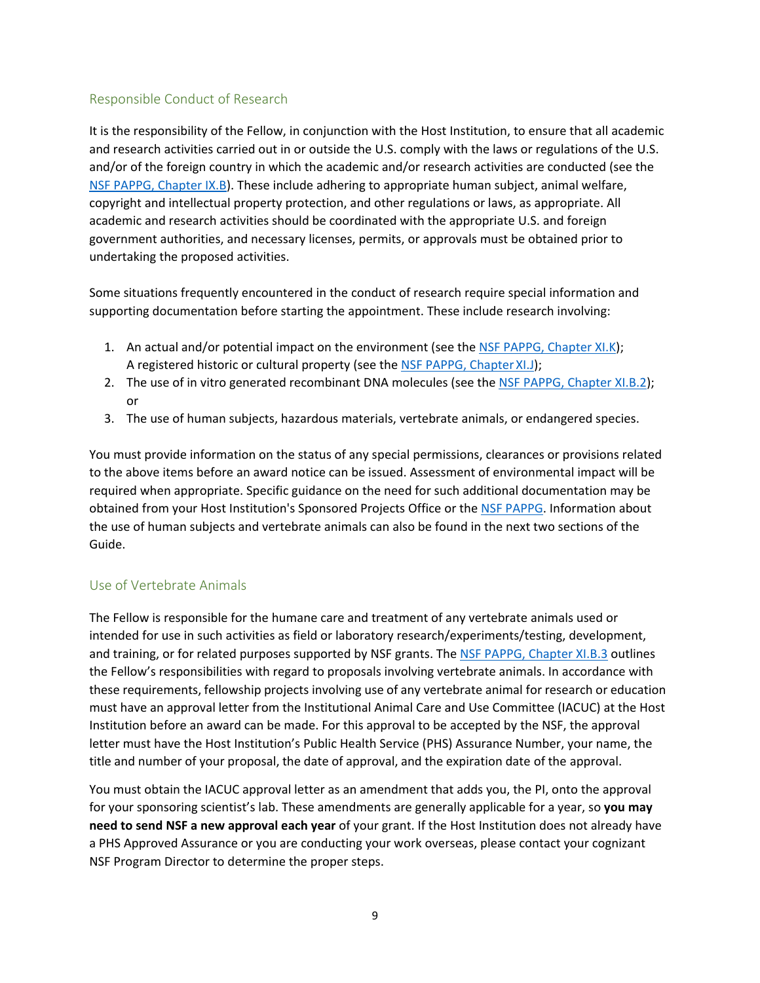## Responsible Conduct of Research

It is the responsibility of the Fellow, in conjunction with the Host Institution, to ensure that all academic and research activities carried out in or outside the U.S. comply with the laws or regulations of the U.S. and/or of the foreign country in which the academic and/or research activities are conducted (see the [NSF PAPPG, Chapter IX.B\)](https://www.nsf.gov/pubs/policydocs/pappg20_1/pappg_9.jsp#IXB). These include adhering to appropriate human subject, animal welfare, copyright and intellectual property protection, and other regulations or laws, as appropriate. All academic and research activities should be coordinated with the appropriate U.S. and foreign government authorities, and necessary licenses, permits, or approvals must be obtained prior to undertaking the proposed activities.

Some situations frequently encountered in the conduct of research require special information and supporting documentation before starting the appointment. These include research involving:

- 1. An actual and/or potential impact on the environment (see the [NSF PAPPG, Chapter XI.K\)](https://www.nsf.gov/pubs/policydocs/pappg20_1/pappg_11.jsp#XIK); A registered historic or cultural property (see th[e NSF PAPPG, Chapter](https://www.nsf.gov/pubs/policydocs/pappg20_1/pappg_11.jsp#XIJ) XI.J);
- 2. The use of in vitro generated recombinant DNA molecules (see the [NSF PAPPG, Chapter XI.B.2\)](https://www.nsf.gov/pubs/policydocs/pappg20_1/pappg_11.jsp#XIB2); or
- 3. The use of human subjects, hazardous materials, vertebrate animals, or endangered species.

You must provide information on the status of any special permissions, clearances or provisions related to the above items before an award notice can be issued. Assessment of environmental impact will be required when appropriate. Specific guidance on the need for such additional documentation may be obtained from your Host Institution's Sponsored Projects Office or th[e NSF PAPPG.](https://www.nsf.gov/publications/pub_summ.jsp?ods_key=pappg) Information about the use of human subjects and vertebrate animals can also be found in the next two sections of the Guide.

#### Use of Vertebrate Animals

The Fellow is responsible for the humane care and treatment of any vertebrate animals used or intended for use in such activities as field or laboratory research/experiments/testing, development, and training, or for related purposes supported by NSF grants. The [NSF PAPPG, Chapter XI.B.3](https://www.nsf.gov/pubs/policydocs/pappg20_1/pappg_11.jsp#XIB3) outlines the Fellow's responsibilities with regard to proposals involving vertebrate animals. In accordance with these requirements, fellowship projects involving use of any vertebrate animal for research or education must have an approval letter from the Institutional Animal Care and Use Committee (IACUC) at the Host Institution before an award can be made. For this approval to be accepted by the NSF, the approval letter must have the Host Institution's Public Health Service (PHS) Assurance Number, your name, the title and number of your proposal, the date of approval, and the expiration date of the approval.

You must obtain the IACUC approval letter as an amendment that adds you, the PI, onto the approval for your sponsoring scientist's lab. These amendments are generally applicable for a year, so **you may need to send NSF a new approval each year** of your grant. If the Host Institution does not already have a PHS Approved Assurance or you are conducting your work overseas, please contact your cognizant NSF Program Director to determine the proper steps.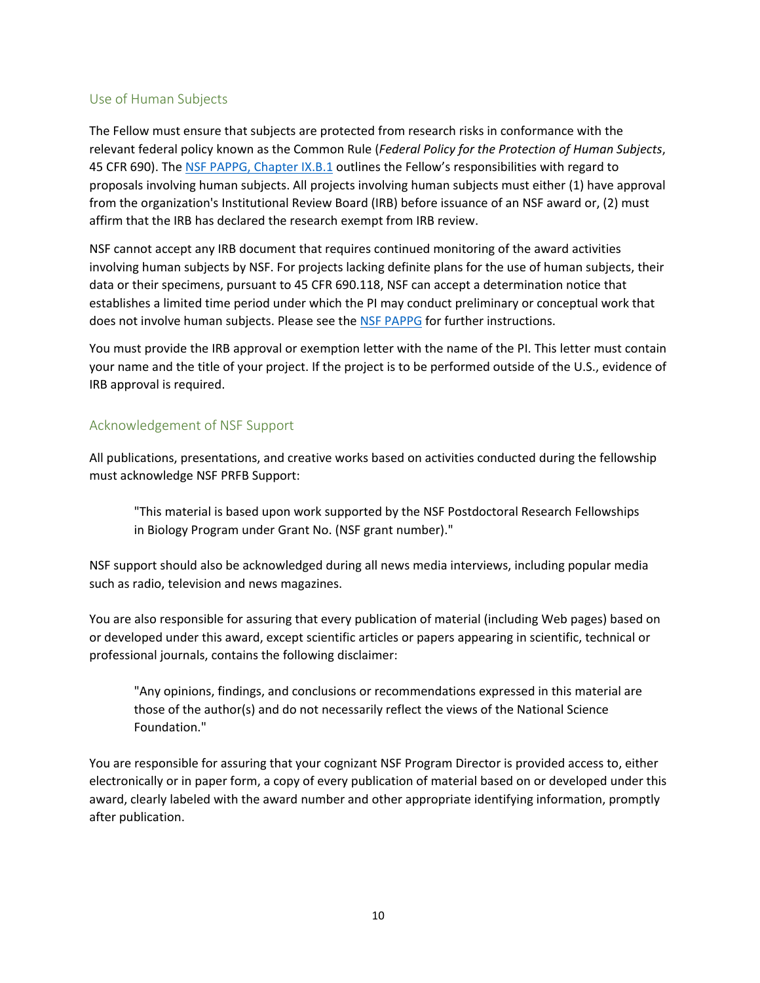## Use of Human Subjects

The Fellow must ensure that subjects are protected from research risks in conformance with the relevant federal policy known as the Common Rule (*Federal Policy for the Protection of Human Subjects*, 45 CFR 690). The [NSF PAPPG, Chapter IX.B.1](https://www.nsf.gov/pubs/policydocs/pappg20_1/pappg_11.jsp#XIB1) outlines the Fellow's responsibilities with regard to proposals involving human subjects. All projects involving human subjects must either (1) have approval from the organization's Institutional Review Board (IRB) before issuance of an NSF award or, (2) must affirm that the IRB has declared the research exempt from IRB review.

NSF cannot accept any IRB document that requires continued monitoring of the award activities involving human subjects by NSF. For projects lacking definite plans for the use of human subjects, their data or their specimens, pursuant to 45 CFR 690.118, NSF can accept a determination notice that establishes a limited time period under which the PI may conduct preliminary or conceptual work that does not involve human subjects. Please see the [NSF PAPPG](https://www.nsf.gov/publications/pub_summ.jsp?ods_key=pappg) for further instructions.

You must provide the IRB approval or exemption letter with the name of the PI. This letter must contain your name and the title of your project. If the project is to be performed outside of the U.S., evidence of IRB approval is required.

## Acknowledgement of NSF Support

All publications, presentations, and creative works based on activities conducted during the fellowship must acknowledge NSF PRFB Support:

"This material is based upon work supported by the NSF Postdoctoral Research Fellowships in Biology Program under Grant No. (NSF grant number)."

NSF support should also be acknowledged during all news media interviews, including popular media such as radio, television and news magazines.

You are also responsible for assuring that every publication of material (including Web pages) based on or developed under this award, except scientific articles or papers appearing in scientific, technical or professional journals, contains the following disclaimer:

"Any opinions, findings, and conclusions or recommendations expressed in this material are those of the author(s) and do not necessarily reflect the views of the National Science Foundation."

You are responsible for assuring that your cognizant NSF Program Director is provided access to, either electronically or in paper form, a copy of every publication of material based on or developed under this award, clearly labeled with the award number and other appropriate identifying information, promptly after publication.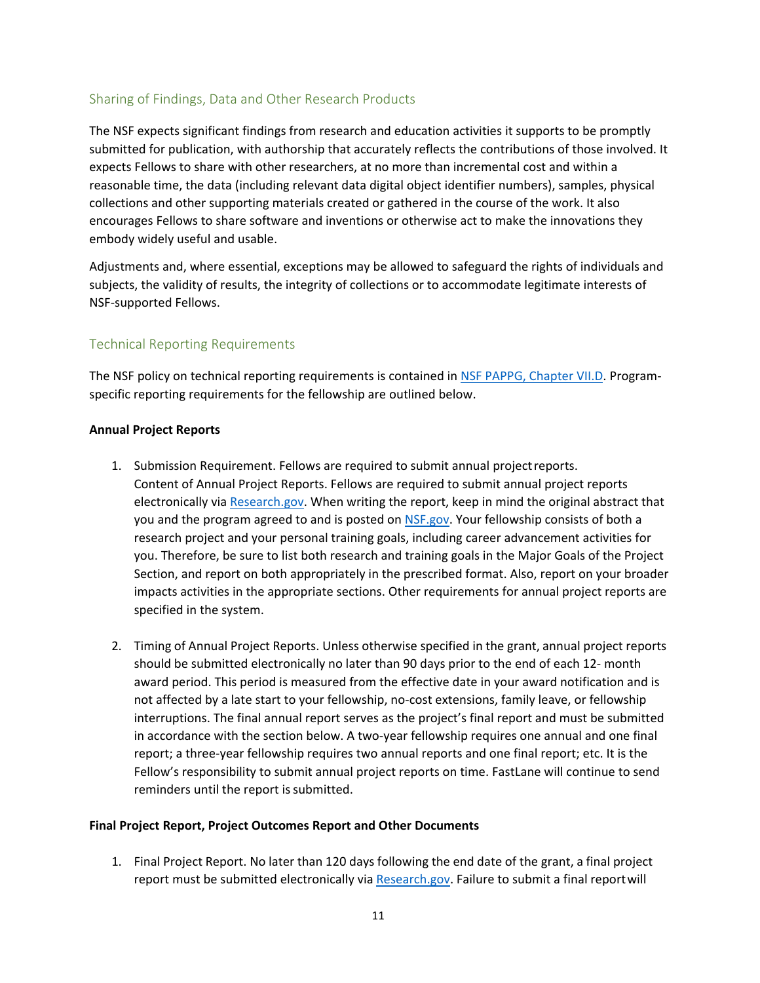## Sharing of Findings, Data and Other Research Products

The NSF expects significant findings from research and education activities it supports to be promptly submitted for publication, with authorship that accurately reflects the contributions of those involved. It expects Fellows to share with other researchers, at no more than incremental cost and within a reasonable time, the data (including relevant data digital object identifier numbers), samples, physical collections and other supporting materials created or gathered in the course of the work. It also encourages Fellows to share software and inventions or otherwise act to make the innovations they embody widely useful and usable.

Adjustments and, where essential, exceptions may be allowed to safeguard the rights of individuals and subjects, the validity of results, the integrity of collections or to accommodate legitimate interests of NSF-supported Fellows.

## Technical Reporting Requirements

The NSF policy on technical reporting requirements is contained in [NSF PAPPG, Chapter VII.D. P](https://www.nsf.gov/pubs/policydocs/pappg20_1/pappg_7.jsp#VIID)rogramspecific reporting requirements for the fellowship are outlined below.

#### **Annual Project Reports**

- 1. Submission Requirement. Fellows are required to submit annual projectreports. Content of Annual Project Reports. Fellows are required to submit annual project reports electronically via [Research.gov. W](https://www.research.gov/)hen writing the report, keep in mind the original abstract that you and the program agreed to and is posted on [NSF.gov. Y](https://www.nsf.gov/)our fellowship consists of both a research project and your personal training goals, including career advancement activities for you. Therefore, be sure to list both research and training goals in the Major Goals of the Project Section, and report on both appropriately in the prescribed format. Also, report on your broader impacts activities in the appropriate sections. Other requirements for annual project reports are specified in the system.
- 2. Timing of Annual Project Reports. Unless otherwise specified in the grant, annual project reports should be submitted electronically no later than 90 days prior to the end of each 12- month award period. This period is measured from the effective date in your award notification and is not affected by a late start to your fellowship, no-cost extensions, family leave, or fellowship interruptions. The final annual report serves as the project's final report and must be submitted in accordance with the section below. A two-year fellowship requires one annual and one final report; a three-year fellowship requires two annual reports and one final report; etc. It is the Fellow's responsibility to submit annual project reports on time. FastLane will continue to send reminders until the report is submitted.

#### **Final Project Report, Project Outcomes Report and Other Documents**

1. Final Project Report. No later than 120 days following the end date of the grant, a final project report must be submitted electronically via [Research.gov. F](https://www.research.gov/)ailure to submit a final report will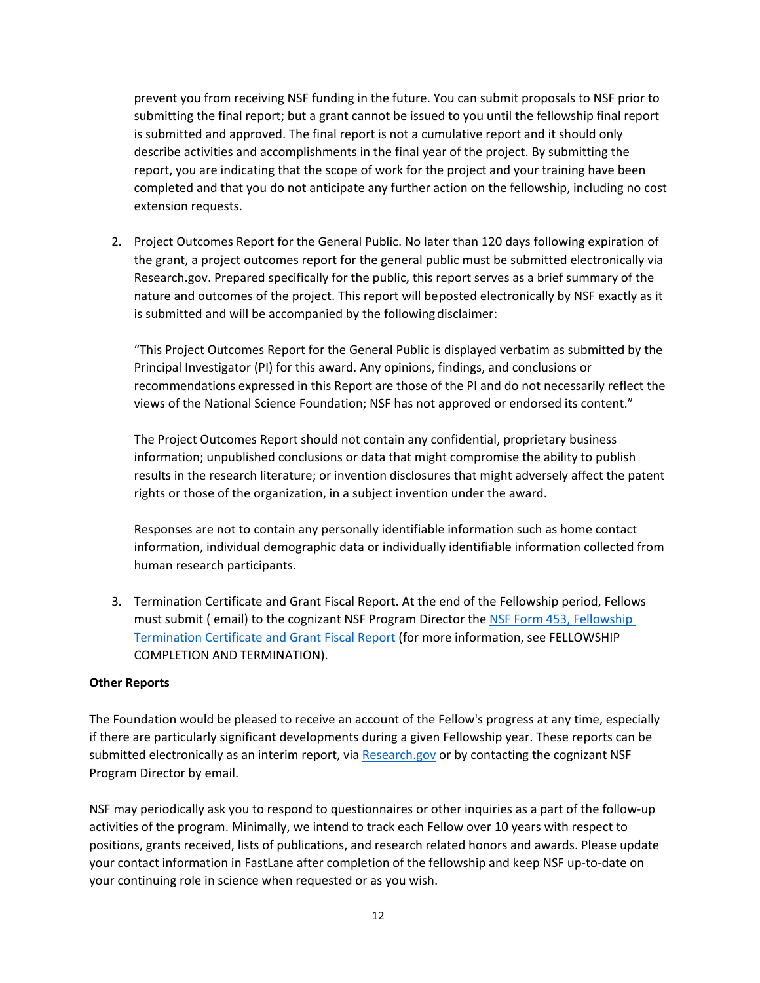## **This document has been archived and replaced by NSF 21-081.**

prevent you from receiving NSF funding in the future. You can submit proposals to NSF prior to submitting the final report; but a grant cannot be issued to you until the fellowship final report is submitted and approved. The final report is not a cumulative report and it should only describe activities and accomplishments in the final year of the project. By submitting the report, you are indicating that the scope of work for the project and your training have been completed and that you do not anticipate any further action on the fellowship, including no cost extension requests.

2. Project Outcomes Report for the General Public. No later than 120 days following expiration of the grant, a project outcomes report for the general public must be submitted electronically [via](https://www.research.gov/) [Research.gov. P](https://www.research.gov/)repared specifically for the public, this report serves as a brief summary of the nature and outcomes of the project. This report will beposted electronically by NSF exactly as it is submitted and will be accompanied by the following disclaimer:

"This Project Outcomes Report for the General Public is displayed verbatim as submitted by the Principal Investigator (PI) for this award. Any opinions, findings, and conclusions or recommendations expressed in this Report are those of the PI and do not necessarily reflect the views of the National Science Foundation; NSF has not approved or endorsed its content."

The Project Outcomes Report should not contain any confidential, proprietary business information; unpublished conclusions or data that might compromise the ability to publish results in the research literature; or invention disclosures that might adversely affect the patent rights or those of the organization, in a subject invention under the award.

Responses are not to contain any personally identifiable information such as home contact information, individual demographic data or individually identifiable information collected from human research participants.

3. Termination Certificate and Grant Fiscal Report. At the end of the Fellowship period, Fellows must submit ( email) to the cognizant NSF Program Director the NSF Form 453, Fellowship [Termination Certificate and Grant Fiscal Report](https://www.nsf.gov/publications/pub_summ.jsp?ods_key=fellowtermfm453) (for more information, see FELLOWSHIP COMPLETION AND TERMINATION).

#### **Other Reports**

The Foundation would be pleased to receive an account of the Fellow's progress at any time, especially if there are particularly significant developments during a given Fellowship year. These reports can be submitted electronically as an interim report, via [Research.gov](https://www.research.gov/) or by contacting the cognizant NSF Program Director by email.

NSF may periodically ask you to respond to questionnaires or other inquiries as a part of the follow-up activities of the program. Minimally, we intend to track each Fellow over 10 years with respect to positions, grants received, lists of publications, and research related honors and awards. Please update your contact information in FastLane after completion of the fellowship and keep NSF up-to-date on your continuing role in science when requested or as you wish.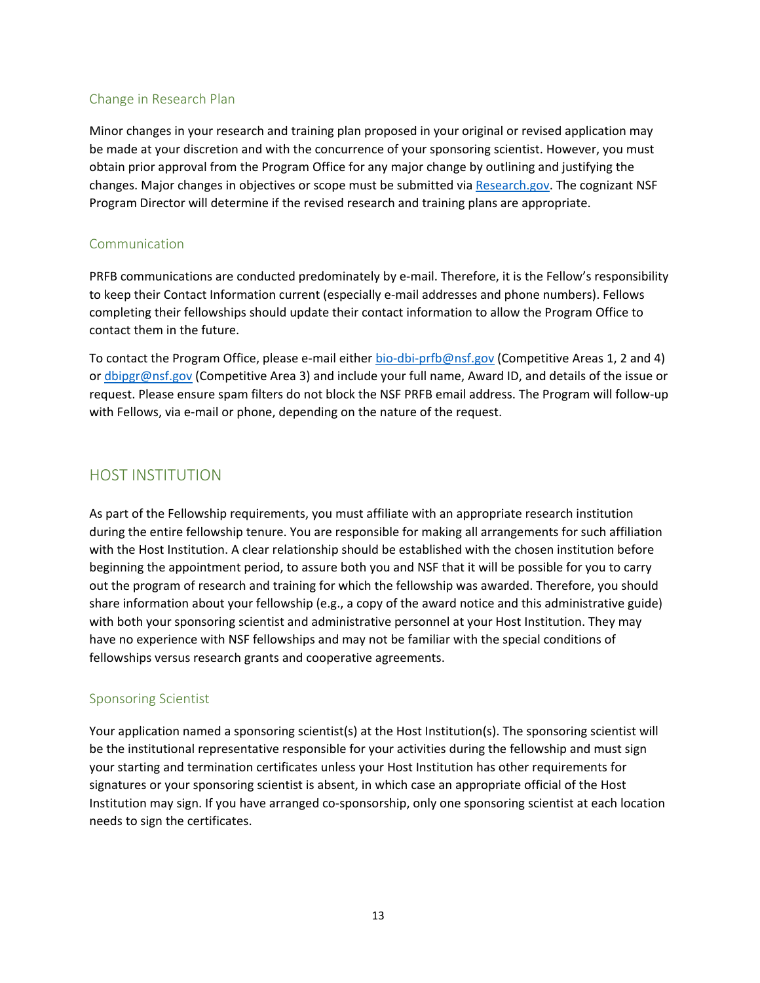## Change in Research Plan

Minor changes in your research and training plan proposed in your original or revised application may be made at your discretion and with the concurrence of your sponsoring scientist. However, you must obtain prior approval from the Program Office for any major change by outlining and justifying the changes. Major changes in objectives or scope must be submitted via [Research.gov. T](https://www.research.gov/)he cognizant NSF Program Director will determine if the revised research and training plans are appropriate.

#### Communication

PRFB communications are conducted predominately by e-mail. Therefore, it is the Fellow's responsibility to keep their Contact Information current (especially e-mail addresses and phone numbers). Fellows completing their fellowships should update their contact information to allow the Program Office to contact them in the future.

To contact the Program Office, please e-mail either [bio-dbi-prfb@nsf.gov](mailto:bio-dbi-prfb@nsf.gov) (Competitive Areas 1, 2 and 4) or [dbipgr@nsf.gov](mailto:dbipgr@nsf.gov) (Competitive Area 3) and include your full name, Award ID, and details of the issue or request. Please ensure spam filters do not block the NSF PRFB email address. The Program will follow-up with Fellows, via e-mail or phone, depending on the nature of the request.

## HOST INSTITUTION

As part of the Fellowship requirements, you must affiliate with an appropriate research institution during the entire fellowship tenure. You are responsible for making all arrangements for such affiliation with the Host Institution. A clear relationship should be established with the chosen institution before beginning the appointment period, to assure both you and NSF that it will be possible for you to carry out the program of research and training for which the fellowship was awarded. Therefore, you should share information about your fellowship (e.g., a copy of the award notice and this administrative guide) with both your sponsoring scientist and administrative personnel at your Host Institution. They may have no experience with NSF fellowships and may not be familiar with the special conditions of fellowships versus research grants and cooperative agreements.

## Sponsoring Scientist

Your application named a sponsoring scientist(s) at the Host Institution(s). The sponsoring scientist will be the institutional representative responsible for your activities during the fellowship and must sign your starting and termination certificates unless your Host Institution has other requirements for signatures or your sponsoring scientist is absent, in which case an appropriate official of the Host Institution may sign. If you have arranged co-sponsorship, only one sponsoring scientist at each location needs to sign the certificates.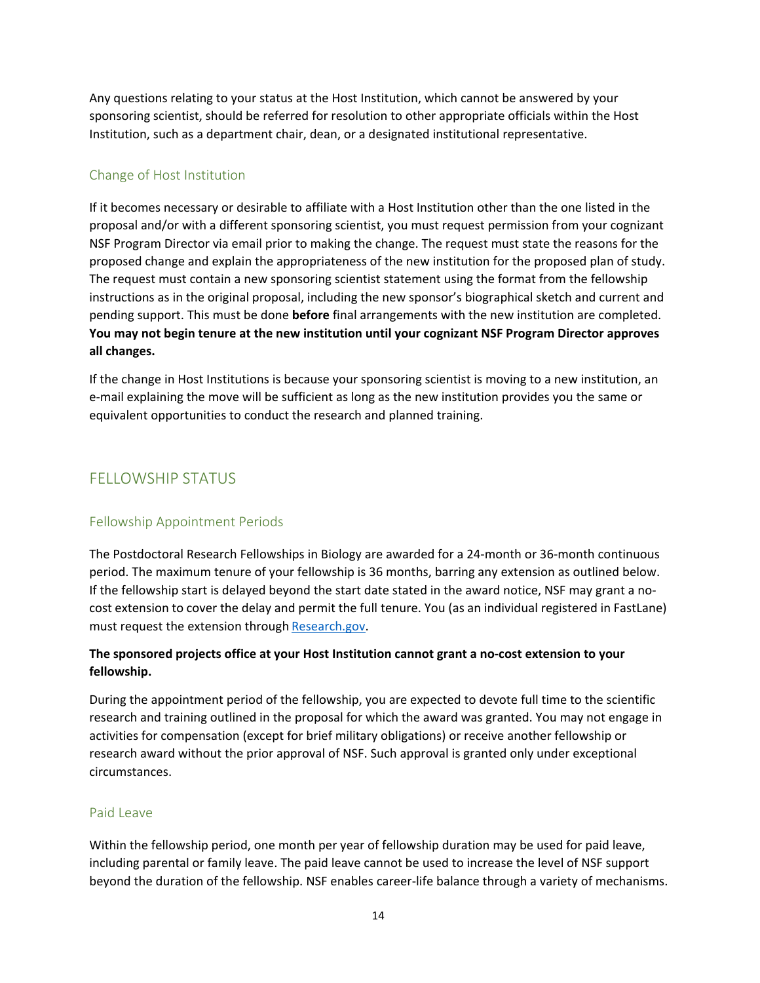Any questions relating to your status at the Host Institution, which cannot be answered by your sponsoring scientist, should be referred for resolution to other appropriate officials within the Host Institution, such as a department chair, dean, or a designated institutional representative.

## Change of Host Institution

If it becomes necessary or desirable to affiliate with a Host Institution other than the one listed in the proposal and/or with a different sponsoring scientist, you must request permission from your cognizant NSF Program Director via email prior to making the change. The request must state the reasons for the proposed change and explain the appropriateness of the new institution for the proposed plan of study. The request must contain a new sponsoring scientist statement using the format from the fellowship instructions as in the original proposal, including the new sponsor's biographical sketch and current and pending support. This must be done **before** final arrangements with the new institution are completed. **You may not begin tenure at the new institution until your cognizant NSF Program Director approves all changes.**

If the change in Host Institutions is because your sponsoring scientist is moving to a new institution, an e-mail explaining the move will be sufficient as long as the new institution provides you the same or equivalent opportunities to conduct the research and planned training.

# FELLOWSHIP STATUS

## Fellowship Appointment Periods

The Postdoctoral Research Fellowships in Biology are awarded for a 24-month or 36-month continuous period. The maximum tenure of your fellowship is 36 months, barring any extension as outlined below. If the fellowship start is delayed beyond the start date stated in the award notice, NSF may grant a nocost extension to cover the delay and permit the full tenure. You (as an individual registered in FastLane) must request the extension through [Research.gov.](https://www.research.gov/)

## **The sponsored projects office at your Host Institution cannot grant a no-cost extension to your fellowship.**

During the appointment period of the fellowship, you are expected to devote full time to the scientific research and training outlined in the proposal for which the award was granted. You may not engage in activities for compensation (except for brief military obligations) or receive another fellowship or research award without the prior approval of NSF. Such approval is granted only under exceptional circumstances.

## Paid Leave

Within the fellowship period, one month per year of fellowship duration may be used for paid leave, including parental or family leave. The paid leave cannot be used to increase the level of NSF support beyond the duration of the fellowship. NSF enables career-life balance through a variety of mechanisms.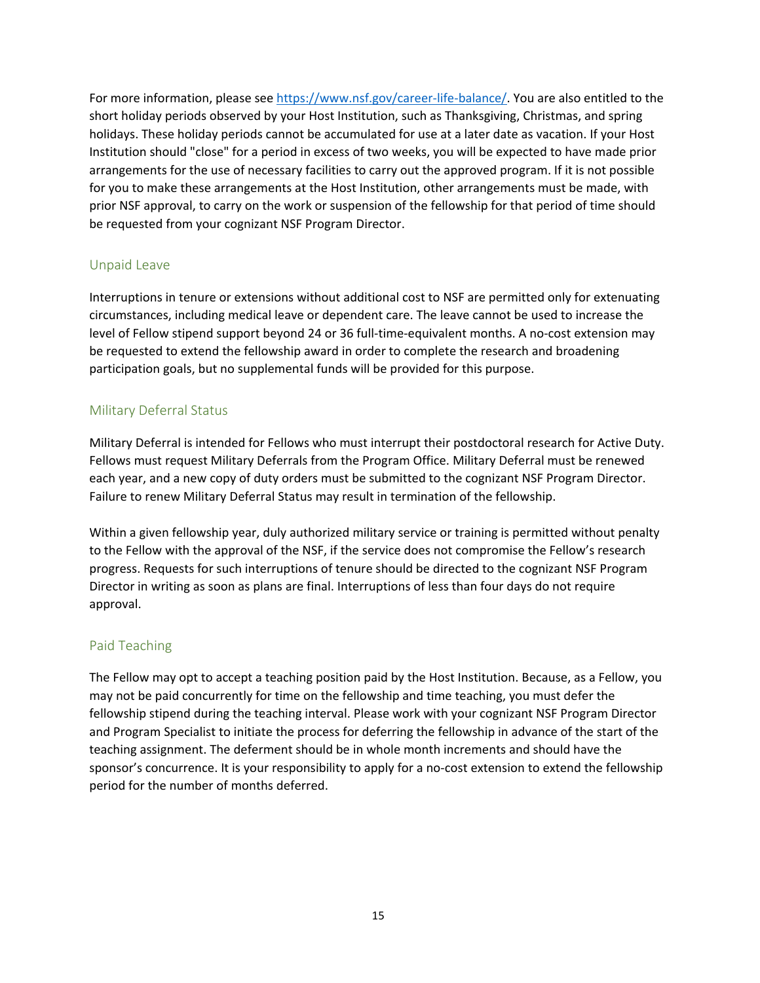## **This document has been archived and replaced by NSF 21-081.**

For more information, please see [https://www.nsf.gov/career-life-balance/. Y](https://www.nsf.gov/career-life-balance/)ou are also entitled to the short holiday periods observed by your Host Institution, such as Thanksgiving, Christmas, and spring holidays. These holiday periods cannot be accumulated for use at a later date as vacation. If your Host Institution should "close" for a period in excess of two weeks, you will be expected to have made prior arrangements for the use of necessary facilities to carry out the approved program. If it is not possible for you to make these arrangements at the Host Institution, other arrangements must be made, with prior NSF approval, to carry on the work or suspension of the fellowship for that period of time should be requested from your cognizant NSF Program Director.

#### Unpaid Leave

Interruptions in tenure or extensions without additional cost to NSF are permitted only for extenuating circumstances, including medical leave or dependent care. The leave cannot be used to increase the level of Fellow stipend support beyond 24 or 36 full-time-equivalent months. A no-cost extension may be requested to extend the fellowship award in order to complete the research and broadening participation goals, but no supplemental funds will be provided for this purpose.

## Military Deferral Status

Military Deferral is intended for Fellows who must interrupt their postdoctoral research for Active Duty. Fellows must request Military Deferrals from the Program Office. Military Deferral must be renewed each year, and a new copy of duty orders must be submitted to the cognizant NSF Program Director. Failure to renew Military Deferral Status may result in termination of the fellowship.

Within a given fellowship year, duly authorized military service or training is permitted without penalty to the Fellow with the approval of the NSF, if the service does not compromise the Fellow's research progress. Requests for such interruptions of tenure should be directed to the cognizant NSF Program Director in writing as soon as plans are final. Interruptions of less than four days do not require approval.

#### Paid Teaching

The Fellow may opt to accept a teaching position paid by the Host Institution. Because, as a Fellow, you may not be paid concurrently for time on the fellowship and time teaching, you must defer the fellowship stipend during the teaching interval. Please work with your cognizant NSF Program Director and Program Specialist to initiate the process for deferring the fellowship in advance of the start of the teaching assignment. The deferment should be in whole month increments and should have the sponsor's concurrence. It is your responsibility to apply for a no-cost extension to extend the fellowship period for the number of months deferred.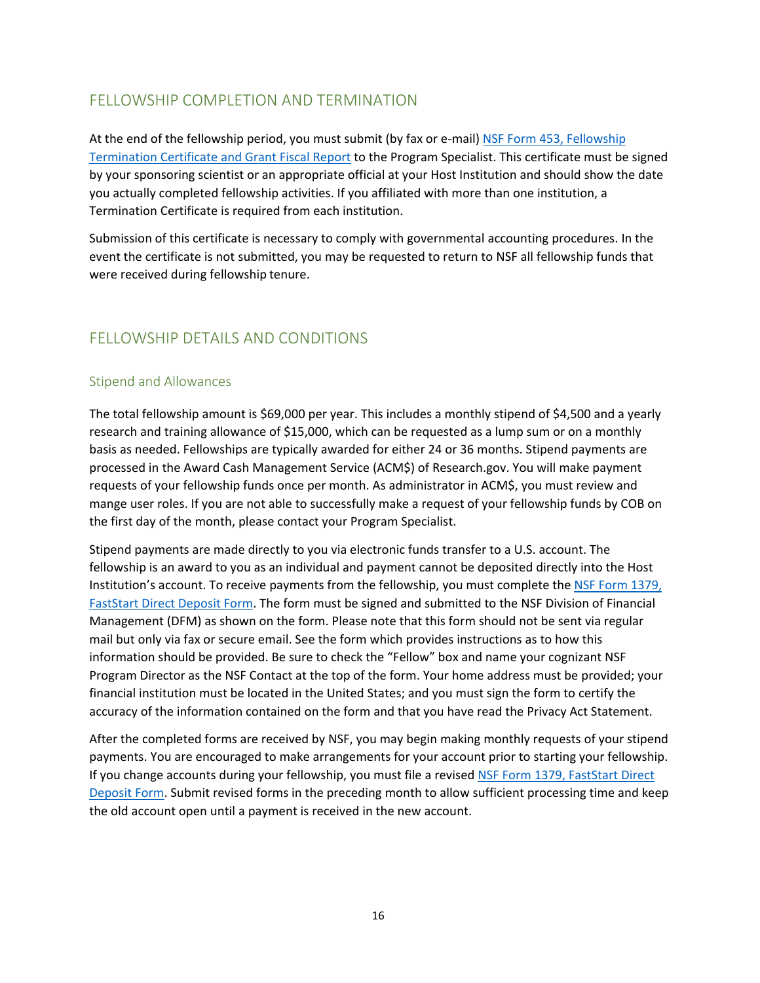# FELLOWSHIP COMPLETION AND TERMINATION

At the end of the fellowship period, you must submit (by fax or e-mail) [NSF Form 453, Fellowship](https://www.nsf.gov/publications/pub_summ.jsp?ods_key=fellowtermfm453) [Termination Certificate and Grant Fiscal Report](https://www.nsf.gov/publications/pub_summ.jsp?ods_key=fellowtermfm453) to the Program Specialist. This certificate must be signed by your sponsoring scientist or an appropriate official at your Host Institution and should show the date you actually completed fellowship activities. If you affiliated with more than one institution, a Termination Certificate is required from each institution.

Submission of this certificate is necessary to comply with governmental accounting procedures. In the event the certificate is not submitted, you may be requested to return to NSF all fellowship funds that were received during fellowship tenure.

# FELLOWSHIP DETAILS AND CONDITIONS

#### Stipend and Allowances

The total fellowship amount is \$69,000 per year. This includes a monthly stipend of \$4,500 and a yearly research and training allowance of \$15,000, which can be requested as a lump sum or on a monthly basis as needed. Fellowships are typically awarded for either 24 or 36 months. Stipend payments are processed in the Award Cash Management Service (ACM\$) o[f Research.gov. Y](https://www.research.gov/research-portal/appmanager/base/desktop?_nfpb=true&_pageLabel=research_home_page)ou will make payment requests of your fellowship funds once per month. As administrator in ACM\$, you must review and mange user roles. If you are not able to successfully make a request of your fellowship funds by COB on the first day of the month, please contact your Program Specialist.

Stipend payments are made directly to you via electronic funds transfer to a U.S. account. The fellowship is an award to you as an individual and payment cannot be deposited directly into the Host Institution's account. To receive payments from the fellowship, you must complete the [NSF Form 1379,](https://www.nsf.gov/publications/pub_summ.jsp?ods_key=nsf1379) [FastStart Direct Deposit Form. T](https://www.nsf.gov/publications/pub_summ.jsp?ods_key=nsf1379)he form must be signed and submitted to the NSF Division of Financial Management (DFM) as shown on the form. Please note that this form should not be sent via regular mail but only via fax or secure email. See the form which provides instructions as to how this information should be provided. Be sure to check the "Fellow" box and name your cognizant NSF Program Director as the NSF Contact at the top of the form. Your home address must be provided; your financial institution must be located in the United States; and you must sign the form to certify the accuracy of the information contained on the form and that you have read the Privacy Act Statement.

After the completed forms are received by NSF, you may begin making monthly requests of your stipend payments. You are encouraged to make arrangements for your account prior to starting your fellowship. If you change accounts during your fellowship, you must file a revised [NSF Form 1379, FastStart Direct](https://www.nsf.gov/publications/pub_summ.jsp?ods_key=nsf1379) [Deposit Form. S](https://www.nsf.gov/publications/pub_summ.jsp?ods_key=nsf1379)ubmit revised forms in the preceding month to allow sufficient processing time and keep the old account open until a payment is received in the new account.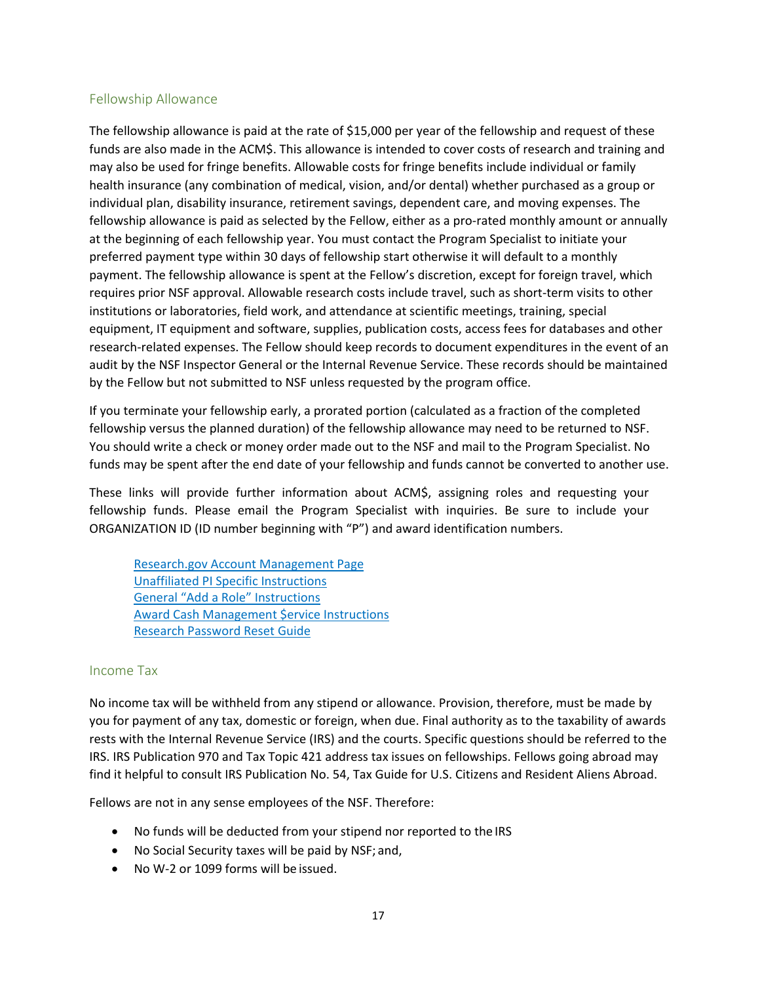### Fellowship Allowance

The fellowship allowance is paid at the rate of \$15,000 per year of the fellowship and request of these funds are also made in the ACM\$. This allowance is intended to cover costs of research and training and may also be used for fringe benefits. Allowable costs for fringe benefits include individual or family health insurance (any combination of medical, vision, and/or dental) whether purchased as a group or individual plan, disability insurance, retirement savings, dependent care, and moving expenses. The fellowship allowance is paid as selected by the Fellow, either as a pro-rated monthly amount or annually at the beginning of each fellowship year. You must contact the Program Specialist to initiate your preferred payment type within 30 days of fellowship start otherwise it will default to a monthly payment. The fellowship allowance is spent at the Fellow's discretion, except for foreign travel, which requires prior NSF approval. Allowable research costs include travel, such as short-term visits to other institutions or laboratories, field work, and attendance at scientific meetings, training, special equipment, IT equipment and software, supplies, publication costs, access fees for databases and other research-related expenses. The Fellow should keep records to document expenditures in the event of an audit by the NSF Inspector General or the Internal Revenue Service. These records should be maintained by the Fellow but not submitted to NSF unless requested by the program office.

If you terminate your fellowship early, a prorated portion (calculated as a fraction of the completed fellowship versus the planned duration) of the fellowship allowance may need to be returned to NSF. You should write a check or money order made out to the NSF and mail to the Program Specialist. No funds may be spent after the end date of your fellowship and funds cannot be converted to another use.

These links will provide further information about ACM\$, assigning roles and requesting your fellowship funds. Please email the Program Specialist with inquiries. Be sure to include your ORGANIZATION ID (ID number beginning with "P") and award identification numbers.

[Research.gov Account Management Page](https://www.research.gov/research-portal/appmanager/base/desktop?_nfpb=true&_pageLabel=research_node_display&_nodePath=/researchGov/Service/Desktop/InstitutionAndUserManagement.html) [Unaffiliated PI Specific Instructions](https://www.research.gov/common/attachment/Desktop/Single_ID_Help.pdf#page%3D21) [General "Add a Role" Instructions](https://www.research.gov/common/attachment/Desktop/Single_ID_Help.pdf#page%3D14) [Award Cash Management \\$ervice Instructions](https://www.research.gov/common/attachment/Desktop/ACMS%20External%20User%20Getting%20Started%20Guide.pdf) [Research Password Reset Guide](https://www.research.gov/common/attachment/Desktop/Rgov%20Password%20Reset%20Guide.pdf)

#### Income Tax

No income tax will be withheld from any stipend or allowance. Provision, therefore, must be made by you for payment of any tax, domestic or foreign, when due. Final authority as to the taxability of awards rests with the Internal Revenue Service (IRS) and the courts. Specific questions should be referred to the IRS. IRS Publication 970 and Tax Topic 421 address tax issues on fellowships. Fellows going abroad may find it helpful to consult IRS Publication No. 54, Tax Guide for U.S. Citizens and Resident Aliens Abroad.

Fellows are not in any sense employees of the NSF. Therefore:

- No funds will be deducted from your stipend nor reported to the IRS
- No Social Security taxes will be paid by NSF; and,
- No W-2 or 1099 forms will be issued.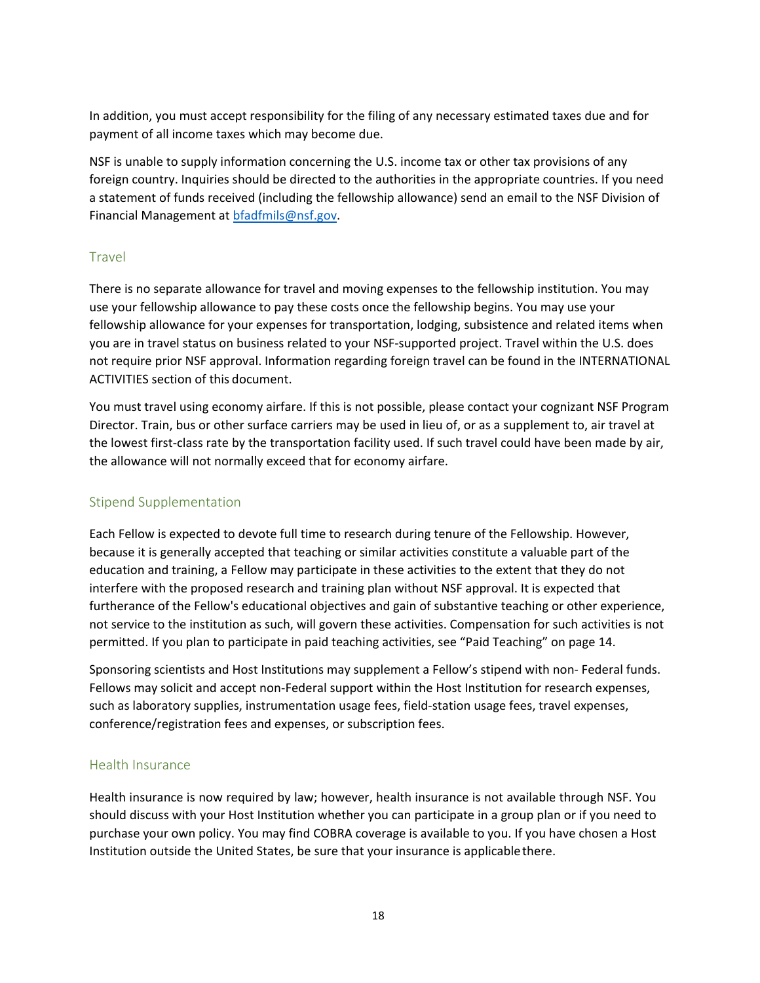In addition, you must accept responsibility for the filing of any necessary estimated taxes due and for payment of all income taxes which may become due.

NSF is unable to supply information concerning the U.S. income tax or other tax provisions of any foreign country. Inquiries should be directed to the authorities in the appropriate countries. If you need a statement of funds received (including the fellowship allowance) send an email to the NSF Division of Financial Management at [bfadfmils@nsf.gov.](mailto:bfadfmils@nsf.gov)

## Travel

There is no separate allowance for travel and moving expenses to the fellowship institution. You may use your fellowship allowance to pay these costs once the fellowship begins. You may use your fellowship allowance for your expenses for transportation, lodging, subsistence and related items when you are in travel status on business related to your NSF-supported project. Travel within the U.S. does not require prior NSF approval. Information regarding foreign travel can be found in the INTERNATIONAL ACTIVITIES section of this document.

You must travel using economy airfare. If this is not possible, please contact your cognizant NSF Program Director. Train, bus or other surface carriers may be used in lieu of, or as a supplement to, air travel at the lowest first-class rate by the transportation facility used. If such travel could have been made by air, the allowance will not normally exceed that for economy airfare.

## Stipend Supplementation

Each Fellow is expected to devote full time to research during tenure of the Fellowship. However, because it is generally accepted that teaching or similar activities constitute a valuable part of the education and training, a Fellow may participate in these activities to the extent that they do not interfere with the proposed research and training plan without NSF approval. It is expected that furtherance of the Fellow's educational objectives and gain of substantive teaching or other experience, not service to the institution as such, will govern these activities. Compensation for such activities is not permitted. If you plan to participate in paid teaching activities, see "Paid Teaching" on page 14.

Sponsoring scientists and Host Institutions may supplement a Fellow's stipend with non- Federal funds. Fellows may solicit and accept non-Federal support within the Host Institution for research expenses, such as laboratory supplies, instrumentation usage fees, field-station usage fees, travel expenses, conference/registration fees and expenses, or subscription fees.

#### Health Insurance

Health insurance is now required by law; however, health insurance is not available through NSF. You should discuss with your Host Institution whether you can participate in a group plan or if you need to purchase your own policy. You may find COBRA coverage is available to you. If you have chosen a Host Institution outside the United States, be sure that your insurance is applicable there.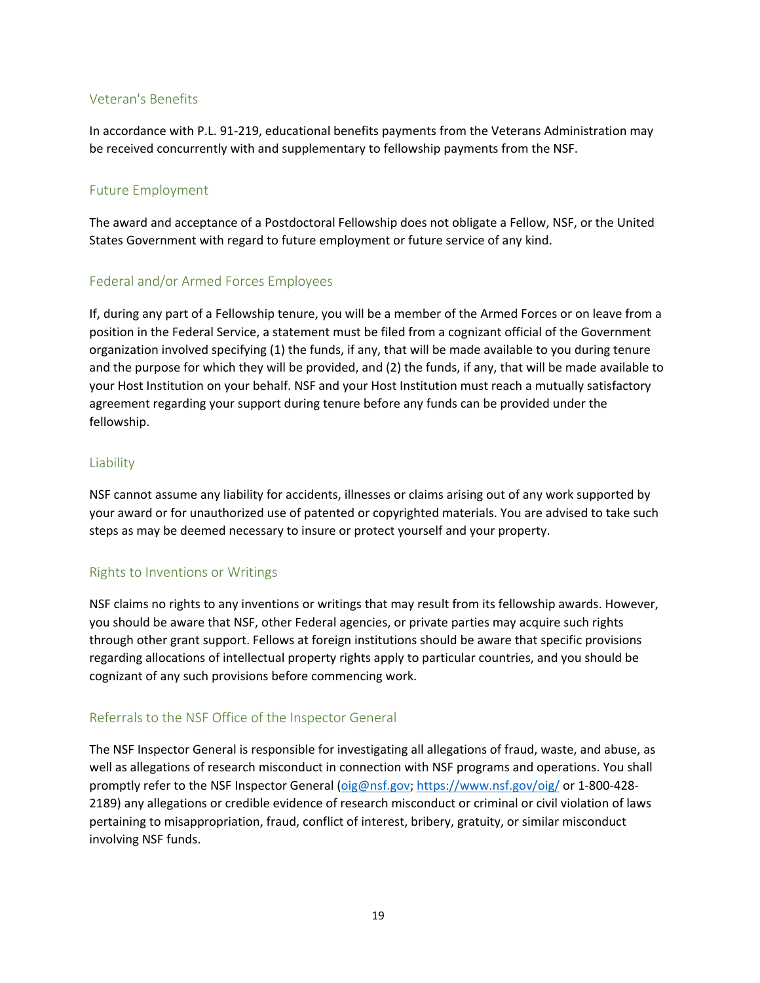## Veteran's Benefits

In accordance with P.L. 91-219, educational benefits payments from the Veterans Administration may be received concurrently with and supplementary to fellowship payments from the NSF.

#### Future Employment

The award and acceptance of a Postdoctoral Fellowship does not obligate a Fellow, NSF, or the United States Government with regard to future employment or future service of any kind.

## Federal and/or Armed Forces Employees

If, during any part of a Fellowship tenure, you will be a member of the Armed Forces or on leave from a position in the Federal Service, a statement must be filed from a cognizant official of the Government organization involved specifying (1) the funds, if any, that will be made available to you during tenure and the purpose for which they will be provided, and (2) the funds, if any, that will be made available to your Host Institution on your behalf. NSF and your Host Institution must reach a mutually satisfactory agreement regarding your support during tenure before any funds can be provided under the fellowship.

#### Liability

NSF cannot assume any liability for accidents, illnesses or claims arising out of any work supported by your award or for unauthorized use of patented or copyrighted materials. You are advised to take such steps as may be deemed necessary to insure or protect yourself and your property.

#### Rights to Inventions or Writings

NSF claims no rights to any inventions or writings that may result from its fellowship awards. However, you should be aware that NSF, other Federal agencies, or private parties may acquire such rights through other grant support. Fellows at foreign institutions should be aware that specific provisions regarding allocations of intellectual property rights apply to particular countries, and you should be cognizant of any such provisions before commencing work.

## Referrals to the NSF Office of the Inspector General

The NSF Inspector General is responsible for investigating all allegations of fraud, waste, and abuse, as well as allegations of research misconduct in connection with NSF programs and operations. You shall promptly refer to the NSF Inspector General [\(oig@nsf.gov;](mailto:oig@nsf.gov)<https://www.nsf.gov/oig/> or 1-800-428- 2189) any allegations or credible evidence of research misconduct or criminal or civil violation of laws pertaining to misappropriation, fraud, conflict of interest, bribery, gratuity, or similar misconduct involving NSF funds.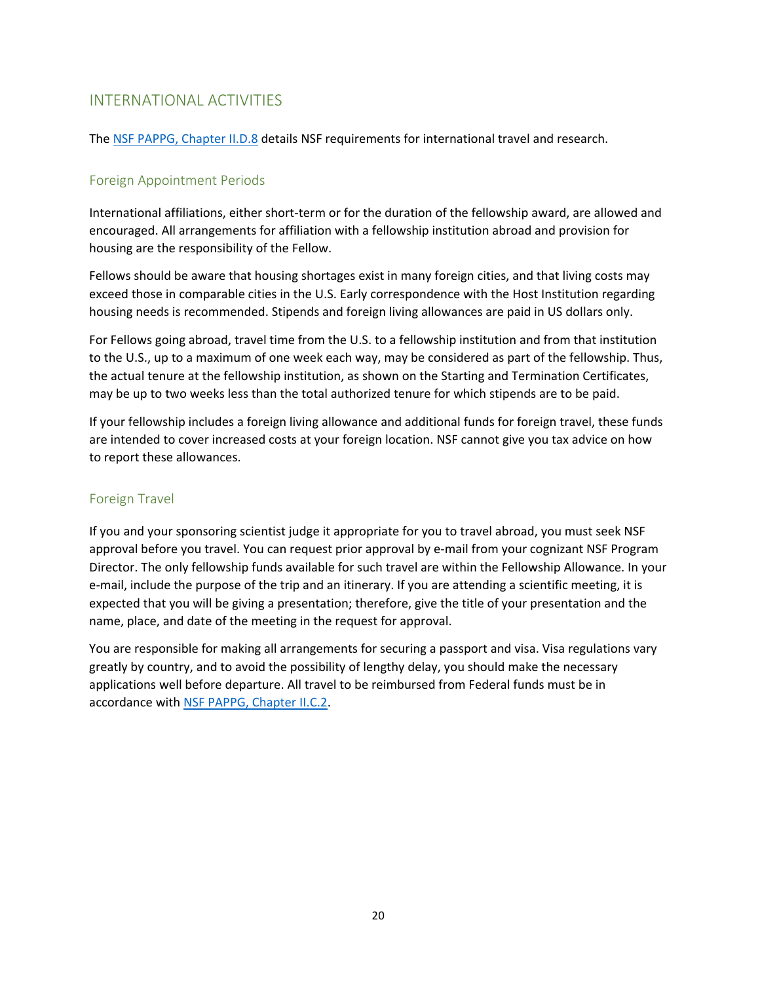## INTERNATIONAL ACTIVITIES

The [NSF PAPPG, Chapter II.D.8](https://www.nsf.gov/pubs/policydocs/pappg20_1/pappg_2.jsp#IID8) details NSF requirements for international travel and research.

## Foreign Appointment Periods

International affiliations, either short-term or for the duration of the fellowship award, are allowed and encouraged. All arrangements for affiliation with a fellowship institution abroad and provision for housing are the responsibility of the Fellow.

Fellows should be aware that housing shortages exist in many foreign cities, and that living costs may exceed those in comparable cities in the U.S. Early correspondence with the Host Institution regarding housing needs is recommended. Stipends and foreign living allowances are paid in US dollars only.

For Fellows going abroad, travel time from the U.S. to a fellowship institution and from that institution to the U.S., up to a maximum of one week each way, may be considered as part of the fellowship. Thus, the actual tenure at the fellowship institution, as shown on the Starting and Termination Certificates, may be up to two weeks less than the total authorized tenure for which stipends are to be paid.

If your fellowship includes a foreign living allowance and additional funds for foreign travel, these funds are intended to cover increased costs at your foreign location. NSF cannot give you tax advice on how to report these allowances.

### Foreign Travel

If you and your sponsoring scientist judge it appropriate for you to travel abroad, you must seek NSF approval before you travel. You can request prior approval by e-mail from your cognizant NSF Program Director. The only fellowship funds available for such travel are within the Fellowship Allowance. In your e-mail, include the purpose of the trip and an itinerary. If you are attending a scientific meeting, it is expected that you will be giving a presentation; therefore, give the title of your presentation and the name, place, and date of the meeting in the request for approval.

You are responsible for making all arrangements for securing a passport and visa. Visa regulations vary greatly by country, and to avoid the possibility of lengthy delay, you should make the necessary applications well before departure. All travel to be reimbursed from Federal funds must be in accordance with [NSF PAPPG, Chapter II.C.2.](https://www.nsf.gov/pubs/policydocs/pappg20_1/pappg_2.jsp#IIC2givc)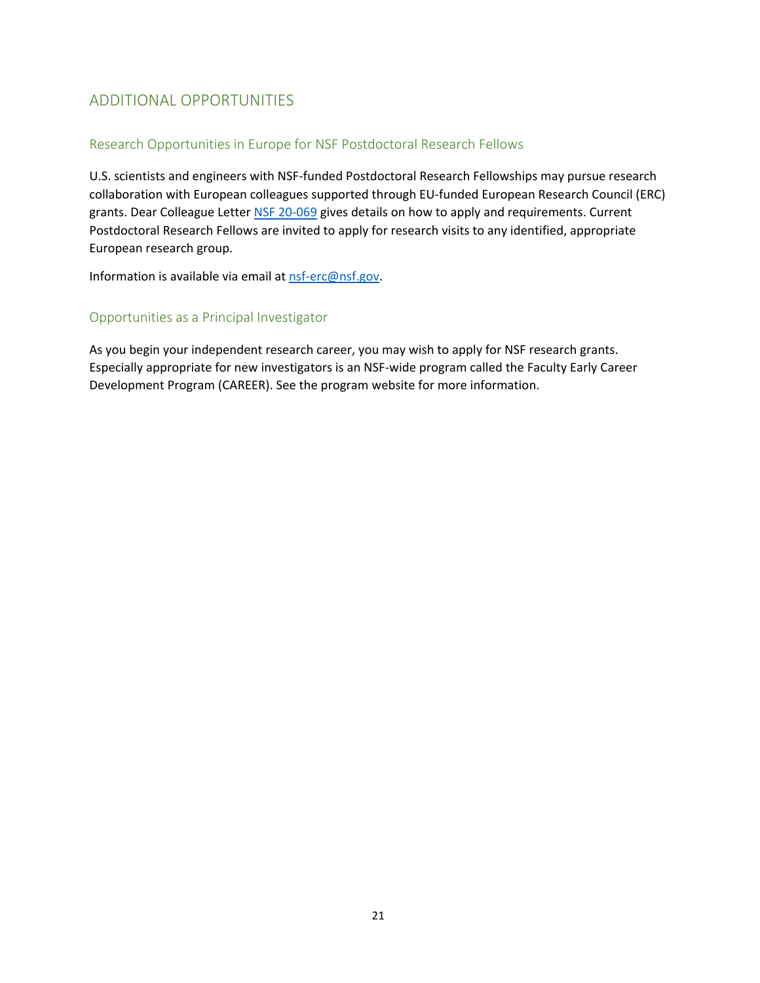# ADDITIONAL OPPORTUNITIES

### Research Opportunities in Europe for NSF Postdoctoral Research Fellows

U.S. scientists and engineers with NSF-funded Postdoctoral Research Fellowships may pursue research collaboration with European colleagues supported through EU-funded European Research Council (ERC) grants. Dear Colleague Letter [NSF 20-069](https://www.nsf.gov/publications/pub_summ.jsp?ods_key=nsf20069&org=NSF) gives details on how to apply and requirements. Current Postdoctoral Research Fellows are invited to apply for research visits to any identified, appropriate European research group.

Information is available via email at [nsf-erc@nsf.gov.](mailto:nsf-erc@nsf.gov)

#### Opportunities as a Principal Investigator

As you begin your independent research career, you may wish to apply for NSF research grants. Especially appropriate for new investigators is an NSF-wide program called the Faculty Early Career Development Program (CAREER). See th[e program website f](https://www.nsf.gov/funding/pgm_summ.jsp?pims_id=503214)or more information.